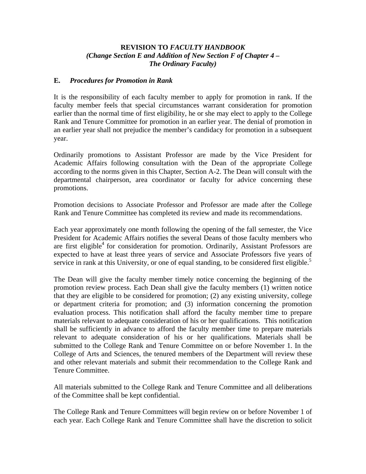## **REVISION TO** *FACULTY HANDBOOK (Change Section E and Addition of New Section F of Chapter 4 – The Ordinary Faculty)*

## **E.** *Procedures for Promotion in Rank*

It is the responsibility of each faculty member to apply for promotion in rank. If the faculty member feels that special circumstances warrant consideration for promotion earlier than the normal time of first eligibility, he or she may elect to apply to the College Rank and Tenure Committee for promotion in an earlier year. The denial of promotion in an earlier year shall not prejudice the member's candidacy for promotion in a subsequent year.

Ordinarily promotions to Assistant Professor are made by the Vice President for Academic Affairs following consultation with the Dean of the appropriate College according to the norms given in this Chapter, Section A-2. The Dean will consult with the departmental chairperson, area coordinator or faculty for advice concerning these promotions.

Promotion decisions to Associate Professor and Professor are made after the College Rank and Tenure Committee has completed its review and made its recommendations.

Each year approximately one month following the opening of the fall semester, the Vice President for Academic Affairs notifies the several Deans of those faculty members who are first eligible<sup>4</sup> for consideration for promotion. Ordinarily, Assistant Professors are expected to have at least three years of service and Associate Professors five years of service in rank at this University, or one of equal standing, to be considered first eligible.<sup>5</sup>

The Dean will give the faculty member timely notice concerning the beginning of the promotion review process. Each Dean shall give the faculty members (1) written notice that they are eligible to be considered for promotion; (2) any existing university, college or department criteria for promotion; and (3) information concerning the promotion evaluation process. This notification shall afford the faculty member time to prepare materials relevant to adequate consideration of his or her qualifications. This notification shall be sufficiently in advance to afford the faculty member time to prepare materials relevant to adequate consideration of his or her qualifications. Materials shall be submitted to the College Rank and Tenure Committee on or before November 1. In the College of Arts and Sciences, the tenured members of the Department will review these and other relevant materials and submit their recommendation to the College Rank and Tenure Committee.

All materials submitted to the College Rank and Tenure Committee and all deliberations of the Committee shall be kept confidential.

The College Rank and Tenure Committees will begin review on or before November 1 of each year. Each College Rank and Tenure Committee shall have the discretion to solicit